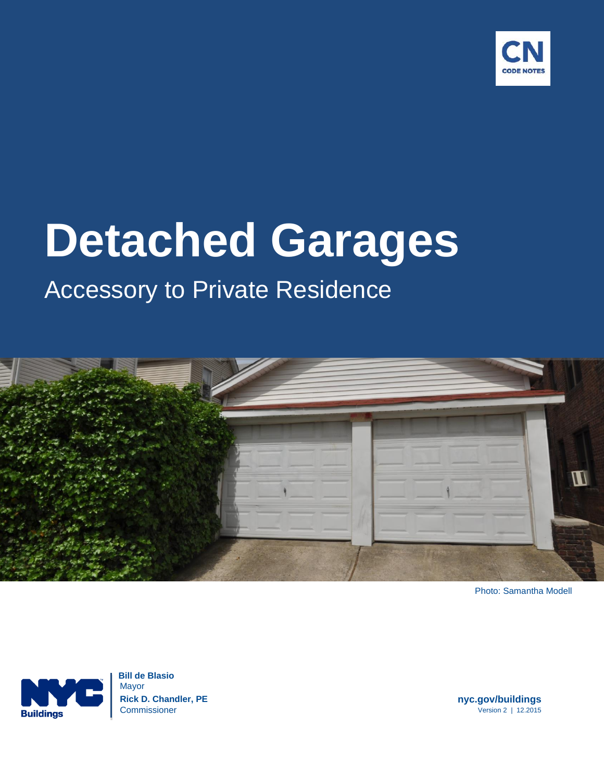

# **Detached Garages**

# Accessory to Private Residence



Photo: Samantha Modell



 **Bill de Blasio** Mayor **Rick D. Chandler, PE nyc.gov/buildings** Commissioner Version 2 | 12.2015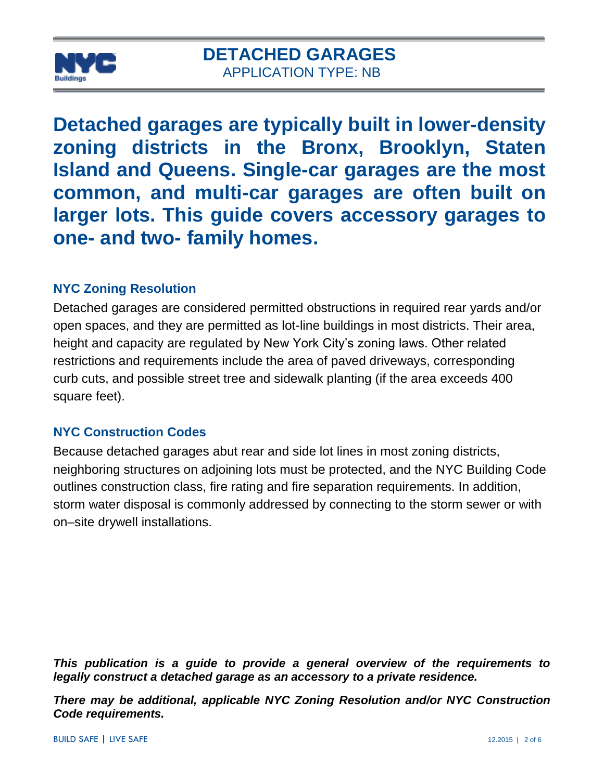

**Detached garages are typically built in lower-density zoning districts in the Bronx, Brooklyn, Staten Island and Queens. Single-car garages are the most common, and multi-car garages are often built on larger lots. This guide covers accessory garages to one- and two- family homes.**

#### **NYC Zoning Resolution**

Detached garages are considered permitted obstructions in required rear yards and/or open spaces, and they are permitted as lot-line buildings in most districts. Their area, height and capacity are regulated by New York City's zoning laws. Other related restrictions and requirements include the area of paved driveways, corresponding curb cuts, and possible street tree and sidewalk planting (if the area exceeds 400 square feet).

#### **NYC Construction Codes**

Because detached garages abut rear and side lot lines in most zoning districts, neighboring structures on adjoining lots must be protected, and the NYC Building Code outlines construction class, fire rating and fire separation requirements. In addition, storm water disposal is commonly addressed by connecting to the storm sewer or with on–site drywell installations.

*This publication is a guide to provide a general overview of the requirements to legally construct a detached garage as an accessory to a private residence.* 

*There may be additional, applicable NYC Zoning Resolution and/or NYC Construction Code requirements.*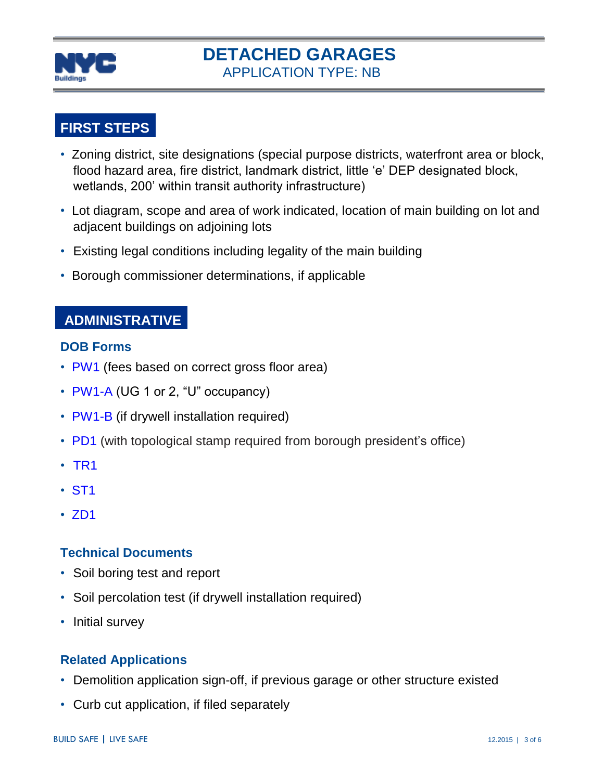

# **DETACHED GARAGES** APPLICATION TYPE: NB

# **FIRST STEPS**

- Zoning district, site designations (special purpose districts, waterfront area or block, flood hazard area, fire district, landmark district, little 'e' DEP designated block, wetlands, 200' within transit authority infrastructure)
- Lot diagram, scope and area of work indicated, location of main building on lot and adjacent buildings on adjoining lots
- Existing legal conditions including legality of the main building
- Borough commissioner determinations, if applicable

### **ADMINISTRATIVE**

#### **DOB Forms**

- [PW1](http://www1.nyc.gov/assets/buildings/pdf/pw1_new.pdf) (fees based on correct gross floor area)
- [PW1-A](http://www1.nyc.gov/assets/buildings/pdf/pw1a.pdf) (UG 1 or 2, "U" occupancy)
- [PW1-B](http://www1.nyc.gov/assets/buildings/pdf/pw1b.pdf) (if drywell installation required)
- [PD1](http://www1.nyc.gov/assets/buildings/pdf/pd1.pdf) (with topological stamp required from borough president's office)
- [TR1](http://www1.nyc.gov/assets/buildings/pdf/tr1_2014.pdf)
- [ST1](http://www1.nyc.gov/assets/buildings/pdf/st1_form.pdf)
- [ZD1](http://www1.nyc.gov/assets/buildings/pdf/zd1.pdf)

#### **Technical Documents**

- Soil boring test and report
- Soil percolation test (if drywell installation required)
- Initial survey

#### **Related Applications**

- Demolition application sign-off, if previous garage or other structure existed
- Curb cut application, if filed separately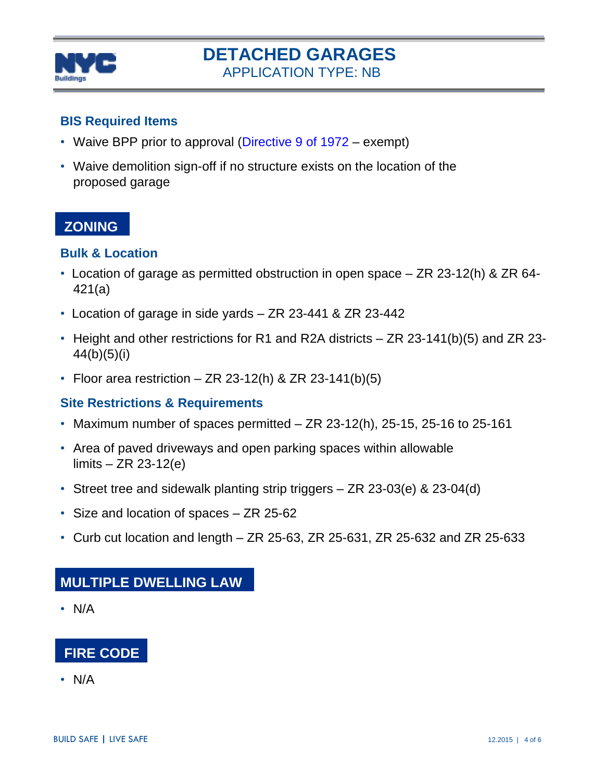

# **DETACHED GARAGES** APPLICATION TYPE: NB

#### **BIS Required Items**

- Waive BPP prior to approval [\(Directive](http://www1.nyc.gov/assets/buildings/pdf/sl4.pdf) 9 of 1972 exempt)
- Waive demolition sign-off if no structure exists on the location of the proposed garage

### **[ZONING](http://www.nyc.gov/html/dcp/html/zone/zonetext.shtml)**

#### **Bulk & Location**

- Location of garage as permitted obstruction in open space ZR 23-12(h) & ZR 64- 421(a)
- Location of garage in side yards ZR 23-441 & ZR 23-442
- Height and other restrictions for R1 and R2A districts ZR 23-141(b)(5) and ZR 23- 44(b)(5)(i)
- Floor area restriction  $-$  ZR 23-12(h) & ZR 23-141(b)(5)

#### **Site Restrictions & Requirements**

- Maximum number of spaces permitted  $-$  ZR 23-12(h), 25-15, 25-16 to 25-161
- Area of paved driveways and open parking spaces within allowable limits – ZR 23-12(e)
- Street tree and sidewalk planting strip triggers ZR 23-03(e) & 23-04(d)
- Size and location of spaces ZR 25-62
- Curb cut location and length  $-$  ZR 25-63, ZR 25-631, ZR 25-632 and ZR 25-633

### **MULTIPLE DWELLING LAW**

• N/A



• N/A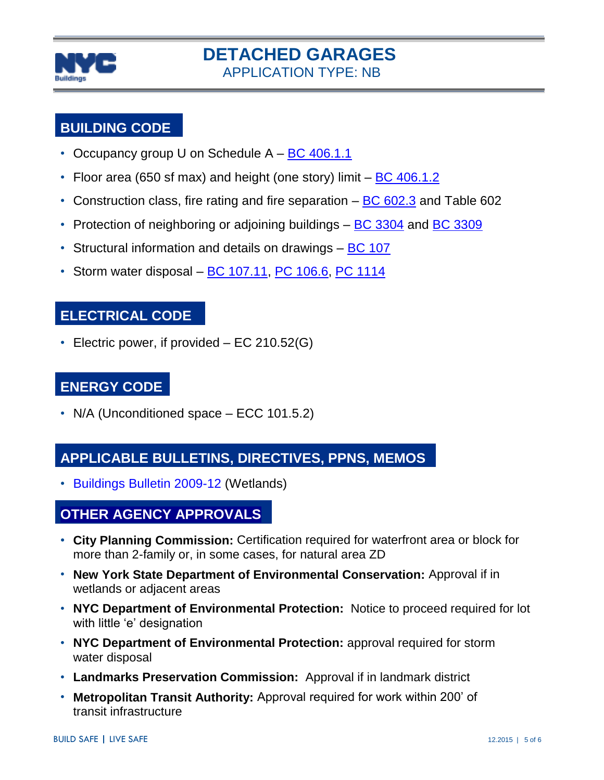

## **[BUILDING CODE](http://www.nyc.gov/html/dob/html/codes_and_reference_materials/2008_cons_codes_table_of_contents.shtml#bldgs)**

- Occupancy group U on Schedule  $A BC 406.1.1$  $A BC 406.1.1$
- Floor area (650 sf max) and height (one story) limit  $-$  [BC 406.1.2](http://www1.nyc.gov/assets/buildings/apps/pdf_viewer/viewer.html?file=2014CC_BC_Chapter_4_Special_Detailed_Requirements.pdf§ion=conscode_2014#nameddest=SECTION_406)
- Construction class, fire rating and fire separation [BC 602.3](http://www1.nyc.gov/assets/buildings/apps/pdf_viewer/viewer.html?file=2014CC_BC_Chapter_6_Types_of_Construction.pdf§ion=conscode_2014#nameddest=SECTION_602) and Table 602
- Protection of neighboring or adjoining buildings [BC 3304](http://www1.nyc.gov/assets/buildings/apps/pdf_viewer/viewer.html?file=2014CC_BC_Chapter_33_Safeguards_During_Construction_or_Demo.pdf§ion=conscode_2014#nameddest=SECTION_3304) and BC [3309](http://www1.nyc.gov/assets/buildings/apps/pdf_viewer/viewer.html?file=2014CC_BC_Chapter_33_Safeguards_During_Construction_or_Demo.pdf§ion=conscode_2014#nameddest=SECTION_3309)
- Structural information and details on drawings [BC 107](http://www1.nyc.gov/assets/buildings/apps/pdf_viewer/viewer.html?file=2014CC_BC_Chapter_1_Administration.pdf§ion=conscode_2014#nameddest=SECTION_107)
- Storm water disposal  $BC 107.11$ ,  $PC 106.6$ ,  $PC 1114$

#### **ELECTRICAL CODE**

• Electric power, if provided – EC 210.52(G)

# **ENERGY CODE**

• N/A (Unconditioned space – ECC 101.5.2)

### **APPLICABLE BULLETINS, DIRECTIVES, PPNS, MEMOS**

• [Buildings Bulletin 2009-](http://www1.nyc.gov/assets/buildings/bldgs_bulletins/bb_2009-012.pdf)12 (Wetlands)

### **OTHER AGENCY APPROVALS**

- **City Planning Commission:** Certification required for waterfront area or block for more than 2-family or, in some cases, for natural area ZD
- **New York State Department of Environmental Conservation:** Approval if in wetlands or adjacent areas
- **NYC Department of Environmental Protection:** Notice to proceed required for lot with little 'e' designation
- **NYC Department of Environmental Protection:** approval required for storm water disposal
- **Landmarks Preservation Commission:** Approval if in landmark district
- **Metropolitan Transit Authority:** Approval required for work within 200' of transit infrastructure